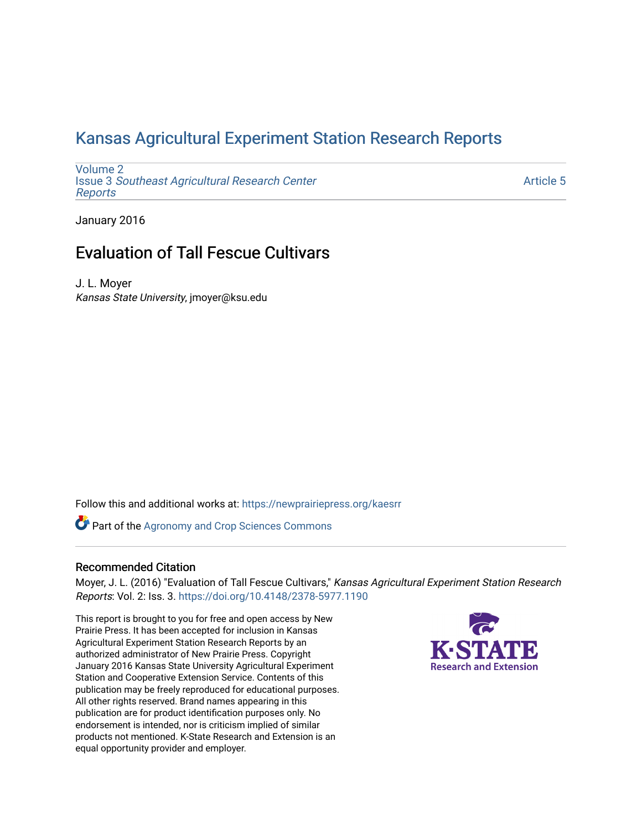## [Kansas Agricultural Experiment Station Research Reports](https://newprairiepress.org/kaesrr)

[Volume 2](https://newprairiepress.org/kaesrr/vol2) Issue 3 [Southeast Agricultural Research Center](https://newprairiepress.org/kaesrr/vol2/iss3) [Reports](https://newprairiepress.org/kaesrr/vol2/iss3)

[Article 5](https://newprairiepress.org/kaesrr/vol2/iss3/5) 

January 2016

## Evaluation of Tall Fescue Cultivars

J. L. Moyer Kansas State University, jmoyer@ksu.edu

Follow this and additional works at: [https://newprairiepress.org/kaesrr](https://newprairiepress.org/kaesrr?utm_source=newprairiepress.org%2Fkaesrr%2Fvol2%2Fiss3%2F5&utm_medium=PDF&utm_campaign=PDFCoverPages) 

Part of the [Agronomy and Crop Sciences Commons](http://network.bepress.com/hgg/discipline/103?utm_source=newprairiepress.org%2Fkaesrr%2Fvol2%2Fiss3%2F5&utm_medium=PDF&utm_campaign=PDFCoverPages) 

### Recommended Citation

Moyer, J. L. (2016) "Evaluation of Tall Fescue Cultivars," Kansas Agricultural Experiment Station Research Reports: Vol. 2: Iss. 3.<https://doi.org/10.4148/2378-5977.1190>

This report is brought to you for free and open access by New Prairie Press. It has been accepted for inclusion in Kansas Agricultural Experiment Station Research Reports by an authorized administrator of New Prairie Press. Copyright January 2016 Kansas State University Agricultural Experiment Station and Cooperative Extension Service. Contents of this publication may be freely reproduced for educational purposes. All other rights reserved. Brand names appearing in this publication are for product identification purposes only. No endorsement is intended, nor is criticism implied of similar products not mentioned. K-State Research and Extension is an equal opportunity provider and employer.

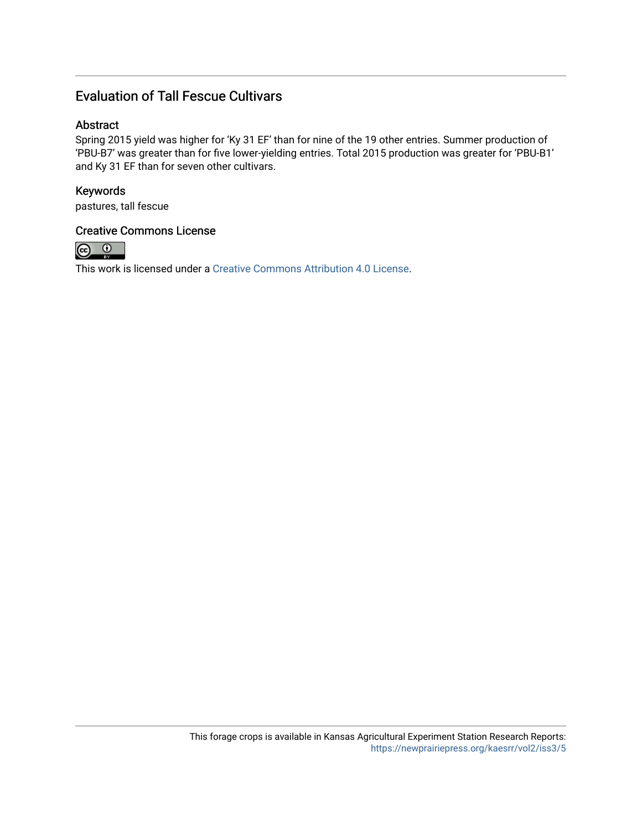### Evaluation of Tall Fescue Cultivars

### Abstract

Spring 2015 yield was higher for 'Ky 31 EF' than for nine of the 19 other entries. Summer production of 'PBU-B7' was greater than for five lower-yielding entries. Total 2015 production was greater for 'PBU-B1' and Ky 31 EF than for seven other cultivars.

### Keywords

pastures, tall fescue

### Creative Commons License



This work is licensed under a [Creative Commons Attribution 4.0 License](https://creativecommons.org/licenses/by/4.0/).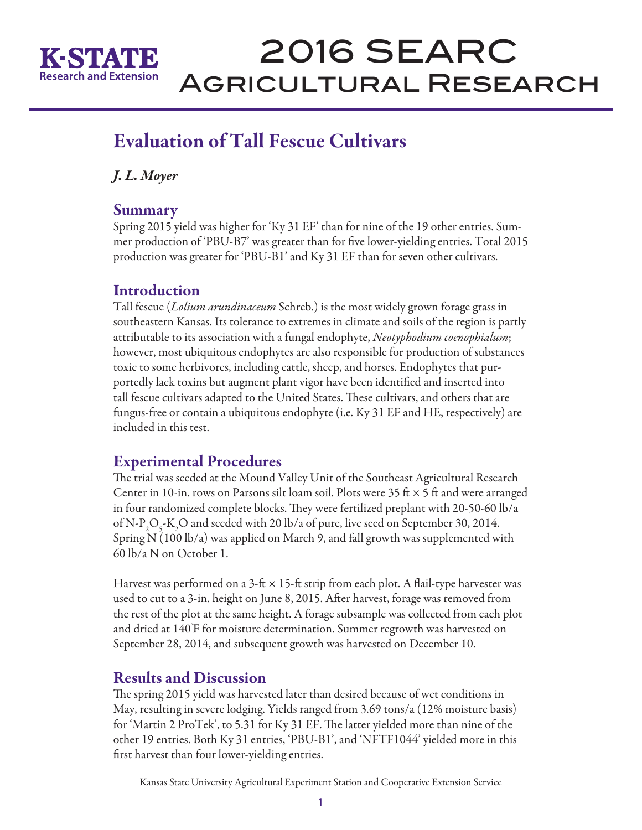

# 2016 SEARC Agricultural Research

## Evaluation of Tall Fescue Cultivars

*J. L. Moyer* 

### **Summary**

Spring 2015 yield was higher for 'Ky 31 EF' than for nine of the 19 other entries. Summer production of 'PBU-B7' was greater than for five lower-yielding entries. Total 2015 production was greater for 'PBU-B1' and Ky 31 EF than for seven other cultivars.

### Introduction

Tall fescue (*Lolium arundinaceum* Schreb.) is the most widely grown forage grass in southeastern Kansas. Its tolerance to extremes in climate and soils of the region is partly attributable to its association with a fungal endophyte, *Neotyphodium coenophialum*; however, most ubiquitous endophytes are also responsible for production of substances toxic to some herbivores, including cattle, sheep, and horses. Endophytes that purportedly lack toxins but augment plant vigor have been identified and inserted into tall fescue cultivars adapted to the United States. These cultivars, and others that are fungus-free or contain a ubiquitous endophyte (i.e. Ky 31 EF and HE, respectively) are included in this test.

## Experimental Procedures

The trial was seeded at the Mound Valley Unit of the Southeast Agricultural Research Center in 10-in. rows on Parsons silt loam soil. Plots were 35 ft  $\times$  5 ft and were arranged in four randomized complete blocks. They were fertilized preplant with 20-50-60 lb/a of N-P<sub>2</sub>O<sub>5</sub>-K<sub>2</sub>O and seeded with 20 lb/a of pure, live seed on September 30, 2014. Spring N (100 lb/a) was applied on March 9, and fall growth was supplemented with 60 lb/a N on October 1.

Harvest was performed on a 3-ft  $\times$  15-ft strip from each plot. A flail-type harvester was used to cut to a 3-in. height on June 8, 2015. After harvest, forage was removed from the rest of the plot at the same height. A forage subsample was collected from each plot and dried at 140° F for moisture determination. Summer regrowth was harvested on September 28, 2014, and subsequent growth was harvested on December 10.

## Results and Discussion

The spring 2015 yield was harvested later than desired because of wet conditions in May, resulting in severe lodging. Yields ranged from 3.69 tons/a (12% moisture basis) for 'Martin 2 ProTek', to 5.31 for Ky 31 EF. The latter yielded more than nine of the other 19 entries. Both Ky 31 entries, 'PBU-B1', and 'NFTF1044' yielded more in this first harvest than four lower-yielding entries.

Kansas State University Agricultural Experiment Station and Cooperative Extension Service